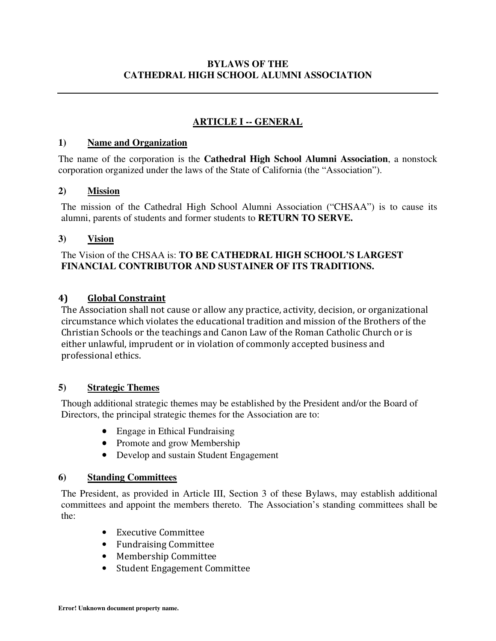# **ARTICLE I -- GENERAL**

#### **1) Name and Organization**

The name of the corporation is the **Cathedral High School Alumni Association**, a nonstock corporation organized under the laws of the State of California (the "Association").

#### **2) Mission**

The mission of the Cathedral High School Alumni Association ("CHSAA") is to cause its alumni, parents of students and former students to **RETURN TO SERVE.** 

#### **3) Vision**

#### The Vision of the CHSAA is: **TO BE CATHEDRAL HIGH SCHOOL'S LARGEST FINANCIAL CONTRIBUTOR AND SUSTAINER OF ITS TRADITIONS.**

#### **4) Global Constraint**

The Association shall not cause or allow any practice, activity, decision, or organizational circumstance which violates the educational tradition and mission of the Brothers of the Christian Schools or the teachings and Canon Law of the Roman Catholic Church or is either unlawful, imprudent or in violation of commonly accepted business and professional ethics.

#### **5) Strategic Themes**

Though additional strategic themes may be established by the President and/or the Board of Directors, the principal strategic themes for the Association are to:

- Engage in Ethical Fundraising
- Promote and grow Membership
- Develop and sustain Student Engagement

#### **6) Standing Committees**

The President, as provided in Article III, Section 3 of these Bylaws, may establish additional committees and appoint the members thereto. The Association's standing committees shall be the:

- Executive Committee
- Fundraising Committee
- Membership Committee
- Student Engagement Committee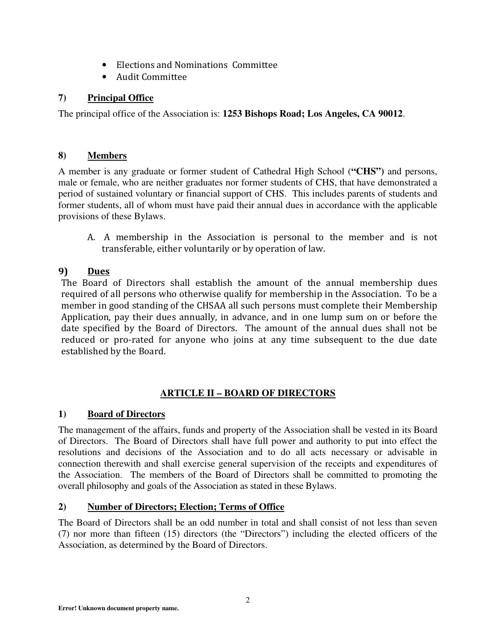- Elections and Nominations Committee
- Audit Committee

# **7) Principal Office**

The principal office of the Association is: **1253 Bishops Road; Los Angeles, CA 90012**.

## **8) Members**

A member is any graduate or former student of Cathedral High School (**"CHS")** and persons, male or female, who are neither graduates nor former students of CHS, that have demonstrated a period of sustained voluntary or financial support of CHS. This includes parents of students and former students, all of whom must have paid their annual dues in accordance with the applicable provisions of these Bylaws.

A. A membership in the Association is personal to the member and is not transferable, either voluntarily or by operation of law.

# **9) Dues**

The Board of Directors shall establish the amount of the annual membership dues required of all persons who otherwise qualify for membership in the Association. To be a member in good standing of the CHSAA all such persons must complete their Membership Application, pay their dues annually, in advance, and in one lump sum on or before the date specified by the Board of Directors. The amount of the annual dues shall not be reduced or pro-rated for anyone who joins at any time subsequent to the due date established by the Board.

# **ARTICLE II – BOARD OF DIRECTORS**

# **1) Board of Directors**

The management of the affairs, funds and property of the Association shall be vested in its Board of Directors. The Board of Directors shall have full power and authority to put into effect the resolutions and decisions of the Association and to do all acts necessary or advisable in connection therewith and shall exercise general supervision of the receipts and expenditures of the Association. The members of the Board of Directors shall be committed to promoting the overall philosophy and goals of the Association as stated in these Bylaws.

# **2) Number of Directors; Election; Terms of Office**

The Board of Directors shall be an odd number in total and shall consist of not less than seven (7) nor more than fifteen (15) directors (the "Directors") including the elected officers of the Association, as determined by the Board of Directors.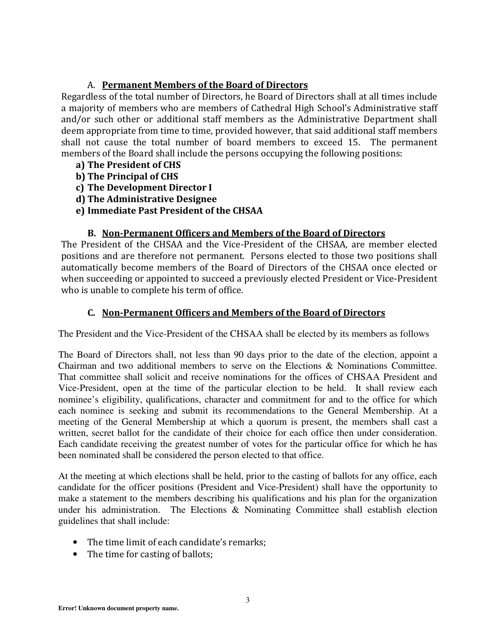### A. **Permanent Members of the Board of Directors**

Regardless of the total number of Directors, he Board of Directors shall at all times include a majority of members who are members of Cathedral High School's Administrative staff and/or such other or additional staff members as the Administrative Department shall deem appropriate from time to time, provided however, that said additional staff members shall not cause the total number of board members to exceed 15. The permanent members of the Board shall include the persons occupying the following positions:

- **a) The President of CHS**
- **b) The Principal of CHS**
- **c) The Development Director I**
- **d) The Administrative Designee**
- **e) Immediate Past President of the CHSAA**

#### **B. Non-Permanent Officers and Members of the Board of Directors**

The President of the CHSAA and the Vice-President of the CHSAA, are member elected positions and are therefore not permanent. Persons elected to those two positions shall automatically become members of the Board of Directors of the CHSAA once elected or when succeeding or appointed to succeed a previously elected President or Vice-President who is unable to complete his term of office.

### **C. Non-Permanent Officers and Members of the Board of Directors**

The President and the Vice-President of the CHSAA shall be elected by its members as follows

The Board of Directors shall, not less than 90 days prior to the date of the election, appoint a Chairman and two additional members to serve on the Elections & Nominations Committee. That committee shall solicit and receive nominations for the offices of CHSAA President and Vice-President, open at the time of the particular election to be held. It shall review each nominee's eligibility, qualifications, character and commitment for and to the office for which each nominee is seeking and submit its recommendations to the General Membership. At a meeting of the General Membership at which a quorum is present, the members shall cast a written, secret ballot for the candidate of their choice for each office then under consideration. Each candidate receiving the greatest number of votes for the particular office for which he has been nominated shall be considered the person elected to that office.

At the meeting at which elections shall be held, prior to the casting of ballots for any office, each candidate for the officer positions (President and Vice-President) shall have the opportunity to make a statement to the members describing his qualifications and his plan for the organization under his administration. The Elections & Nominating Committee shall establish election guidelines that shall include:

- The time limit of each candidate's remarks;
- The time for casting of ballots;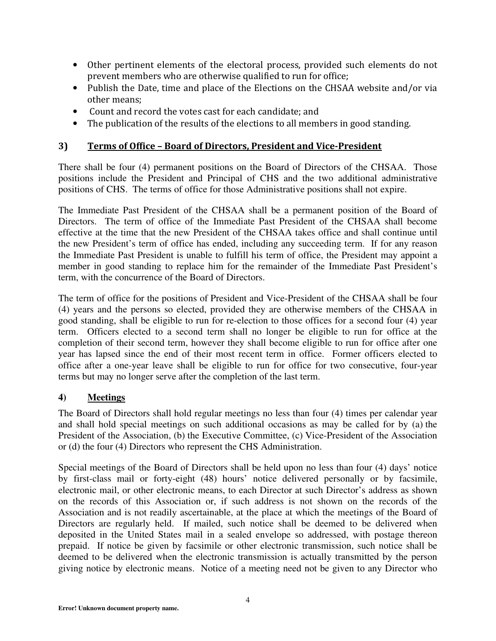- Other pertinent elements of the electoral process, provided such elements do not prevent members who are otherwise qualified to run for office;
- Publish the Date, time and place of the Elections on the CHSAA website and/or via other means;
- Count and record the votes cast for each candidate; and
- The publication of the results of the elections to all members in good standing.

#### **3) Terms of Office – Board of Directors, President and Vice-President**

There shall be four (4) permanent positions on the Board of Directors of the CHSAA. Those positions include the President and Principal of CHS and the two additional administrative positions of CHS. The terms of office for those Administrative positions shall not expire.

The Immediate Past President of the CHSAA shall be a permanent position of the Board of Directors. The term of office of the Immediate Past President of the CHSAA shall become effective at the time that the new President of the CHSAA takes office and shall continue until the new President's term of office has ended, including any succeeding term. If for any reason the Immediate Past President is unable to fulfill his term of office, the President may appoint a member in good standing to replace him for the remainder of the Immediate Past President's term, with the concurrence of the Board of Directors.

The term of office for the positions of President and Vice-President of the CHSAA shall be four (4) years and the persons so elected, provided they are otherwise members of the CHSAA in good standing, shall be eligible to run for re-election to those offices for a second four (4) year term. Officers elected to a second term shall no longer be eligible to run for office at the completion of their second term, however they shall become eligible to run for office after one year has lapsed since the end of their most recent term in office. Former officers elected to office after a one-year leave shall be eligible to run for office for two consecutive, four-year terms but may no longer serve after the completion of the last term.

#### **4) Meetings**

The Board of Directors shall hold regular meetings no less than four (4) times per calendar year and shall hold special meetings on such additional occasions as may be called for by (a) the President of the Association, (b) the Executive Committee, (c) Vice-President of the Association or (d) the four (4) Directors who represent the CHS Administration.

Special meetings of the Board of Directors shall be held upon no less than four (4) days' notice by first-class mail or forty-eight (48) hours' notice delivered personally or by facsimile, electronic mail, or other electronic means, to each Director at such Director's address as shown on the records of this Association or, if such address is not shown on the records of the Association and is not readily ascertainable, at the place at which the meetings of the Board of Directors are regularly held. If mailed, such notice shall be deemed to be delivered when deposited in the United States mail in a sealed envelope so addressed, with postage thereon prepaid. If notice be given by facsimile or other electronic transmission, such notice shall be deemed to be delivered when the electronic transmission is actually transmitted by the person giving notice by electronic means. Notice of a meeting need not be given to any Director who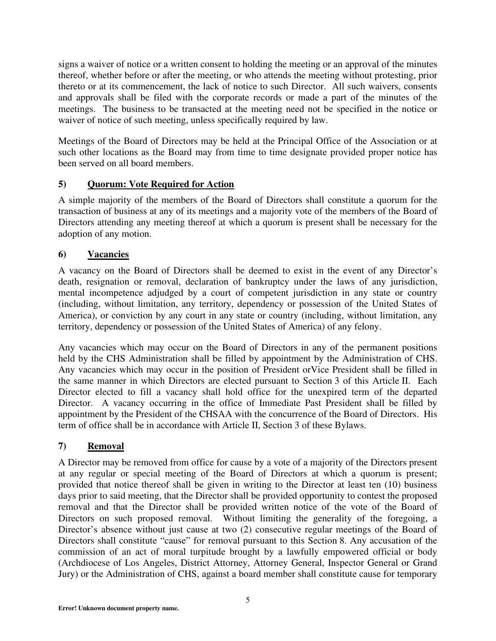signs a waiver of notice or a written consent to holding the meeting or an approval of the minutes thereof, whether before or after the meeting, or who attends the meeting without protesting, prior thereto or at its commencement, the lack of notice to such Director. All such waivers, consents and approvals shall be filed with the corporate records or made a part of the minutes of the meetings. The business to be transacted at the meeting need not be specified in the notice or waiver of notice of such meeting, unless specifically required by law.

Meetings of the Board of Directors may be held at the Principal Office of the Association or at such other locations as the Board may from time to time designate provided proper notice has been served on all board members.

### **5) Quorum: Vote Required for Action**

A simple majority of the members of the Board of Directors shall constitute a quorum for the transaction of business at any of its meetings and a majority vote of the members of the Board of Directors attending any meeting thereof at which a quorum is present shall be necessary for the adoption of any motion.

### **6) Vacancies**

A vacancy on the Board of Directors shall be deemed to exist in the event of any Director's death, resignation or removal, declaration of bankruptcy under the laws of any jurisdiction, mental incompetence adjudged by a court of competent jurisdiction in any state or country (including, without limitation, any territory, dependency or possession of the United States of America), or conviction by any court in any state or country (including, without limitation, any territory, dependency or possession of the United States of America) of any felony.

Any vacancies which may occur on the Board of Directors in any of the permanent positions held by the CHS Administration shall be filled by appointment by the Administration of CHS. Any vacancies which may occur in the position of President orVice President shall be filled in the same manner in which Directors are elected pursuant to Section 3 of this Article II. Each Director elected to fill a vacancy shall hold office for the unexpired term of the departed Director. A vacancy occurring in the office of Immediate Past President shall be filled by appointment by the President of the CHSAA with the concurrence of the Board of Directors. His term of office shall be in accordance with Article II, Section 3 of these Bylaws.

### **7) Removal**

A Director may be removed from office for cause by a vote of a majority of the Directors present at any regular or special meeting of the Board of Directors at which a quorum is present; provided that notice thereof shall be given in writing to the Director at least ten (10) business days prior to said meeting, that the Director shall be provided opportunity to contest the proposed removal and that the Director shall be provided written notice of the vote of the Board of Directors on such proposed removal. Without limiting the generality of the foregoing, a Director's absence without just cause at two (2) consecutive regular meetings of the Board of Directors shall constitute "cause" for removal pursuant to this Section 8. Any accusation of the commission of an act of moral turpitude brought by a lawfully empowered official or body (Archdiocese of Los Angeles, District Attorney, Attorney General, Inspector General or Grand Jury) or the Administration of CHS, against a board member shall constitute cause for temporary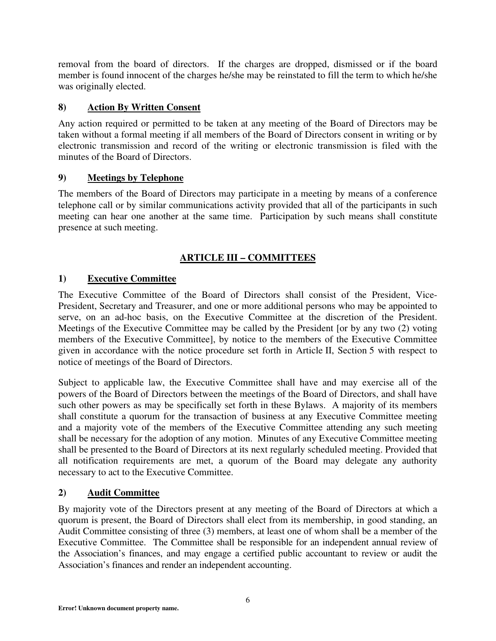removal from the board of directors. If the charges are dropped, dismissed or if the board member is found innocent of the charges he/she may be reinstated to fill the term to which he/she was originally elected.

### **8) Action By Written Consent**

Any action required or permitted to be taken at any meeting of the Board of Directors may be taken without a formal meeting if all members of the Board of Directors consent in writing or by electronic transmission and record of the writing or electronic transmission is filed with the minutes of the Board of Directors.

### **9) Meetings by Telephone**

The members of the Board of Directors may participate in a meeting by means of a conference telephone call or by similar communications activity provided that all of the participants in such meeting can hear one another at the same time. Participation by such means shall constitute presence at such meeting.

## **ARTICLE III – COMMITTEES**

### **1) Executive Committee**

The Executive Committee of the Board of Directors shall consist of the President, Vice-President, Secretary and Treasurer, and one or more additional persons who may be appointed to serve, on an ad-hoc basis, on the Executive Committee at the discretion of the President. Meetings of the Executive Committee may be called by the President [or by any two (2) voting members of the Executive Committee], by notice to the members of the Executive Committee given in accordance with the notice procedure set forth in Article II, Section 5 with respect to notice of meetings of the Board of Directors.

Subject to applicable law, the Executive Committee shall have and may exercise all of the powers of the Board of Directors between the meetings of the Board of Directors, and shall have such other powers as may be specifically set forth in these Bylaws. A majority of its members shall constitute a quorum for the transaction of business at any Executive Committee meeting and a majority vote of the members of the Executive Committee attending any such meeting shall be necessary for the adoption of any motion. Minutes of any Executive Committee meeting shall be presented to the Board of Directors at its next regularly scheduled meeting. Provided that all notification requirements are met, a quorum of the Board may delegate any authority necessary to act to the Executive Committee.

### **2) Audit Committee**

By majority vote of the Directors present at any meeting of the Board of Directors at which a quorum is present, the Board of Directors shall elect from its membership, in good standing, an Audit Committee consisting of three (3) members, at least one of whom shall be a member of the Executive Committee. The Committee shall be responsible for an independent annual review of the Association's finances, and may engage a certified public accountant to review or audit the Association's finances and render an independent accounting.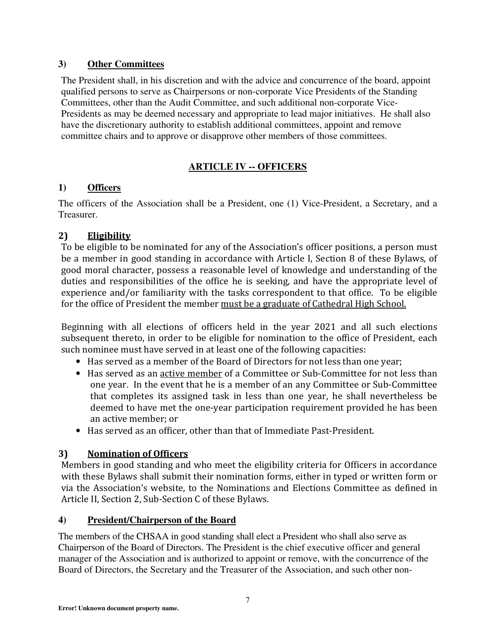### **3) Other Committees**

The President shall, in his discretion and with the advice and concurrence of the board, appoint qualified persons to serve as Chairpersons or non-corporate Vice Presidents of the Standing Committees, other than the Audit Committee, and such additional non-corporate Vice-Presidents as may be deemed necessary and appropriate to lead major initiatives. He shall also have the discretionary authority to establish additional committees, appoint and remove committee chairs and to approve or disapprove other members of those committees.

# **ARTICLE IV -- OFFICERS**

### **1) Officers**

The officers of the Association shall be a President, one (1) Vice-President, a Secretary, and a Treasurer.

## **2) Eligibility**

To be eligible to be nominated for any of the Association's officer positions, a person must be a member in good standing in accordance with Article I, Section 8 of these Bylaws, of good moral character, possess a reasonable level of knowledge and understanding of the duties and responsibilities of the office he is seeking, and have the appropriate level of experience and/or familiarity with the tasks correspondent to that office. To be eligible for the office of President the member must be a graduate of Cathedral High School.

Beginning with all elections of officers held in the year 2021 and all such elections subsequent thereto, in order to be eligible for nomination to the office of President, each such nominee must have served in at least one of the following capacities:

- Has served as a member of the Board of Directors for not less than one year;
- Has served as an active member of a Committee or Sub-Committee for not less than one year. In the event that he is a member of an any Committee or Sub-Committee that completes its assigned task in less than one year, he shall nevertheless be deemed to have met the one-year participation requirement provided he has been an active member; or
- Has served as an officer, other than that of Immediate Past-President.

# **3) Nomination of Officers**

Members in good standing and who meet the eligibility criteria for Officers in accordance with these Bylaws shall submit their nomination forms, either in typed or written form or via the Association's website, to the Nominations and Elections Committee as defined in Article II, Section 2, Sub-Section C of these Bylaws.

### **4) President/Chairperson of the Board**

The members of the CHSAA in good standing shall elect a President who shall also serve as Chairperson of the Board of Directors. The President is the chief executive officer and general manager of the Association and is authorized to appoint or remove, with the concurrence of the Board of Directors, the Secretary and the Treasurer of the Association, and such other non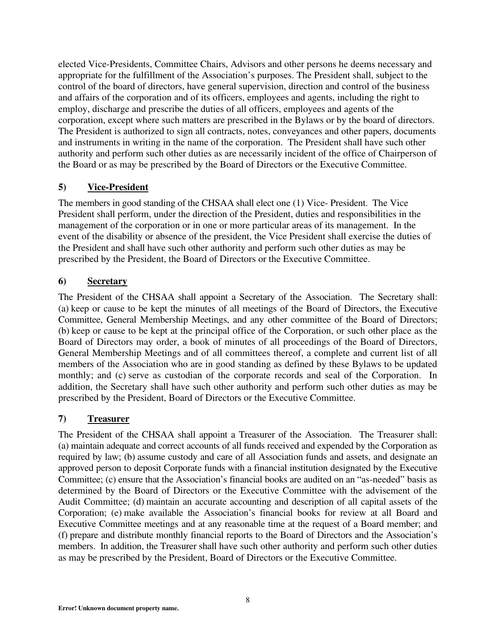elected Vice-Presidents, Committee Chairs, Advisors and other persons he deems necessary and appropriate for the fulfillment of the Association's purposes. The President shall, subject to the control of the board of directors, have general supervision, direction and control of the business and affairs of the corporation and of its officers, employees and agents, including the right to employ, discharge and prescribe the duties of all officers, employees and agents of the corporation, except where such matters are prescribed in the Bylaws or by the board of directors. The President is authorized to sign all contracts, notes, conveyances and other papers, documents and instruments in writing in the name of the corporation. The President shall have such other authority and perform such other duties as are necessarily incident of the office of Chairperson of the Board or as may be prescribed by the Board of Directors or the Executive Committee.

### **5) Vice-President**

The members in good standing of the CHSAA shall elect one (1) Vice- President. The Vice President shall perform, under the direction of the President, duties and responsibilities in the management of the corporation or in one or more particular areas of its management. In the event of the disability or absence of the president, the Vice President shall exercise the duties of the President and shall have such other authority and perform such other duties as may be prescribed by the President, the Board of Directors or the Executive Committee.

### **6) Secretary**

The President of the CHSAA shall appoint a Secretary of the Association. The Secretary shall: (a) keep or cause to be kept the minutes of all meetings of the Board of Directors, the Executive Committee, General Membership Meetings, and any other committee of the Board of Directors; (b) keep or cause to be kept at the principal office of the Corporation, or such other place as the Board of Directors may order, a book of minutes of all proceedings of the Board of Directors, General Membership Meetings and of all committees thereof, a complete and current list of all members of the Association who are in good standing as defined by these Bylaws to be updated monthly; and (c) serve as custodian of the corporate records and seal of the Corporation. In addition, the Secretary shall have such other authority and perform such other duties as may be prescribed by the President, Board of Directors or the Executive Committee.

### **7) Treasurer**

The President of the CHSAA shall appoint a Treasurer of the Association. The Treasurer shall: (a) maintain adequate and correct accounts of all funds received and expended by the Corporation as required by law; (b) assume custody and care of all Association funds and assets, and designate an approved person to deposit Corporate funds with a financial institution designated by the Executive Committee; (c) ensure that the Association's financial books are audited on an "as-needed" basis as determined by the Board of Directors or the Executive Committee with the advisement of the Audit Committee; (d) maintain an accurate accounting and description of all capital assets of the Corporation; (e) make available the Association's financial books for review at all Board and Executive Committee meetings and at any reasonable time at the request of a Board member; and (f) prepare and distribute monthly financial reports to the Board of Directors and the Association's members. In addition, the Treasurer shall have such other authority and perform such other duties as may be prescribed by the President, Board of Directors or the Executive Committee.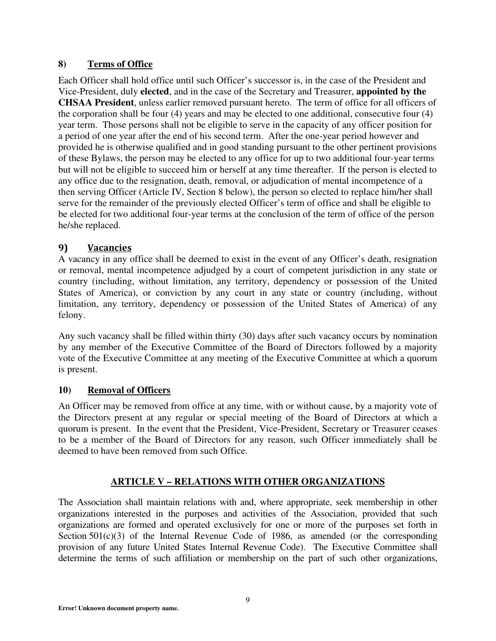### **8) Terms of Office**

Each Officer shall hold office until such Officer's successor is, in the case of the President and Vice-President, duly **elected**, and in the case of the Secretary and Treasurer, **appointed by the CHSAA President**, unless earlier removed pursuant hereto. The term of office for all officers of the corporation shall be four (4) years and may be elected to one additional, consecutive four (4) year term. Those persons shall not be eligible to serve in the capacity of any officer position for a period of one year after the end of his second term. After the one-year period however and provided he is otherwise qualified and in good standing pursuant to the other pertinent provisions of these Bylaws, the person may be elected to any office for up to two additional four-year terms but will not be eligible to succeed him or herself at any time thereafter. If the person is elected to any office due to the resignation, death, removal, or adjudication of mental incompetence of a then serving Officer (Article IV, Section 8 below), the person so elected to replace him/her shall serve for the remainder of the previously elected Officer's term of office and shall be eligible to be elected for two additional four-year terms at the conclusion of the term of office of the person he/she replaced.

### **9) Vacancies**

A vacancy in any office shall be deemed to exist in the event of any Officer's death, resignation or removal, mental incompetence adjudged by a court of competent jurisdiction in any state or country (including, without limitation, any territory, dependency or possession of the United States of America), or conviction by any court in any state or country (including, without limitation, any territory, dependency or possession of the United States of America) of any felony.

Any such vacancy shall be filled within thirty (30) days after such vacancy occurs by nomination by any member of the Executive Committee of the Board of Directors followed by a majority vote of the Executive Committee at any meeting of the Executive Committee at which a quorum is present.

### **10) Removal of Officers**

An Officer may be removed from office at any time, with or without cause, by a majority vote of the Directors present at any regular or special meeting of the Board of Directors at which a quorum is present. In the event that the President, Vice-President, Secretary or Treasurer ceases to be a member of the Board of Directors for any reason, such Officer immediately shall be deemed to have been removed from such Office.

### **ARTICLE V – RELATIONS WITH OTHER ORGANIZATIONS**

The Association shall maintain relations with and, where appropriate, seek membership in other organizations interested in the purposes and activities of the Association, provided that such organizations are formed and operated exclusively for one or more of the purposes set forth in Section 501(c)(3) of the Internal Revenue Code of 1986, as amended (or the corresponding provision of any future United States Internal Revenue Code). The Executive Committee shall determine the terms of such affiliation or membership on the part of such other organizations,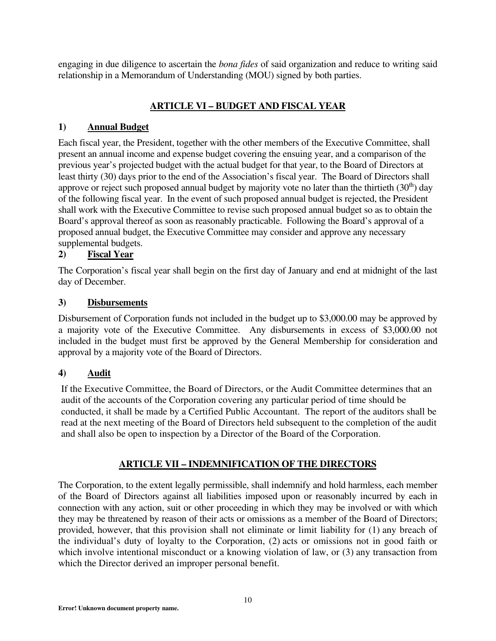engaging in due diligence to ascertain the *bona fides* of said organization and reduce to writing said relationship in a Memorandum of Understanding (MOU) signed by both parties.

## **ARTICLE VI – BUDGET AND FISCAL YEAR**

#### **1) Annual Budget**

Each fiscal year, the President, together with the other members of the Executive Committee, shall present an annual income and expense budget covering the ensuing year, and a comparison of the previous year's projected budget with the actual budget for that year, to the Board of Directors at least thirty (30) days prior to the end of the Association's fiscal year. The Board of Directors shall approve or reject such proposed annual budget by majority vote no later than the thirtieth  $(30<sup>th</sup>)$  day of the following fiscal year. In the event of such proposed annual budget is rejected, the President shall work with the Executive Committee to revise such proposed annual budget so as to obtain the Board's approval thereof as soon as reasonably practicable. Following the Board's approval of a proposed annual budget, the Executive Committee may consider and approve any necessary supplemental budgets.

### **2) Fiscal Year**

The Corporation's fiscal year shall begin on the first day of January and end at midnight of the last day of December.

#### **3) Disbursements**

Disbursement of Corporation funds not included in the budget up to \$3,000.00 may be approved by a majority vote of the Executive Committee. Any disbursements in excess of \$3,000.00 not included in the budget must first be approved by the General Membership for consideration and approval by a majority vote of the Board of Directors.

#### **4) Audit**

If the Executive Committee, the Board of Directors, or the Audit Committee determines that an audit of the accounts of the Corporation covering any particular period of time should be conducted, it shall be made by a Certified Public Accountant. The report of the auditors shall be read at the next meeting of the Board of Directors held subsequent to the completion of the audit and shall also be open to inspection by a Director of the Board of the Corporation.

#### **ARTICLE VII – INDEMNIFICATION OF THE DIRECTORS**

The Corporation, to the extent legally permissible, shall indemnify and hold harmless, each member of the Board of Directors against all liabilities imposed upon or reasonably incurred by each in connection with any action, suit or other proceeding in which they may be involved or with which they may be threatened by reason of their acts or omissions as a member of the Board of Directors; provided, however, that this provision shall not eliminate or limit liability for (1) any breach of the individual's duty of loyalty to the Corporation, (2) acts or omissions not in good faith or which involve intentional misconduct or a knowing violation of law, or  $(3)$  any transaction from which the Director derived an improper personal benefit.